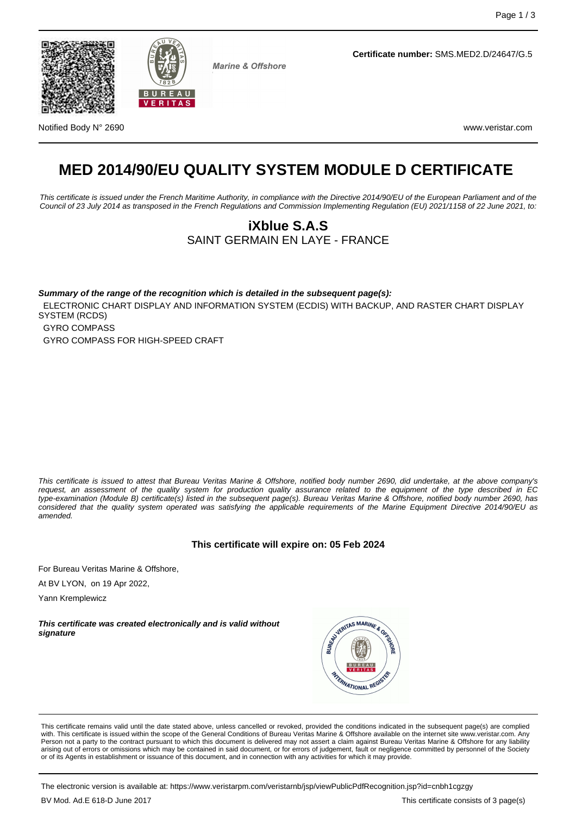



**Marine & Offshore** 

**Certificate number:** SMS.MED2.D/24647/G.5

Notified Body N° 2690 www.veristar.com

# **MED 2014/90/EU QUALITY SYSTEM MODULE D CERTIFICATE**

This certificate is issued under the French Maritime Authority, in compliance with the Directive 2014/90/EU of the European Parliament and of the Council of 23 July 2014 as transposed in the French Regulations and Commission Implementing Regulation (EU) 2021/1158 of 22 June 2021, to:

## **iXblue S.A.S** SAINT GERMAIN EN LAYE - FRANCE

**Summary of the range of the recognition which is detailed in the subsequent page(s):** ELECTRONIC CHART DISPLAY AND INFORMATION SYSTEM (ECDIS) WITH BACKUP, AND RASTER CHART DISPLAY SYSTEM (RCDS) GYRO COMPASS GYRO COMPASS FOR HIGH-SPEED CRAFT

This certificate is issued to attest that Bureau Veritas Marine & Offshore, notified body number 2690, did undertake, at the above company's request, an assessment of the quality system for production quality assurance related to the equipment of the type described in EC type-examination (Module B) certificate(s) listed in the subsequent page(s). Bureau Veritas Marine & Offshore, notified body number 2690, has considered that the quality system operated was satisfying the applicable requirements of the Marine Equipment Directive 2014/90/EU as amended.

#### **This certificate will expire on: 05 Feb 2024**

For Bureau Veritas Marine & Offshore,

At BV LYON, on 19 Apr 2022,

Yann Kremplewicz

**This certificate was created electronically and is valid without signature**



This certificate remains valid until the date stated above, unless cancelled or revoked, provided the conditions indicated in the subsequent page(s) are complied with. This certificate is issued within the scope of the General Conditions of Bureau Veritas Marine & Offshore available on the internet site www.veristar.com. Any Person not a party to the contract pursuant to which this document is delivered may not assert a claim against Bureau Veritas Marine & Offshore for any liability arising out of errors or omissions which may be contained in said document, or for errors of judgement, fault or negligence committed by personnel of the Society or of its Agents in establishment or issuance of this document, and in connection with any activities for which it may provide.

The electronic version is available at: https://www.veristarpm.com/veristarnb/jsp/viewPublicPdfRecognition.jsp?id=cnbh1cgzgy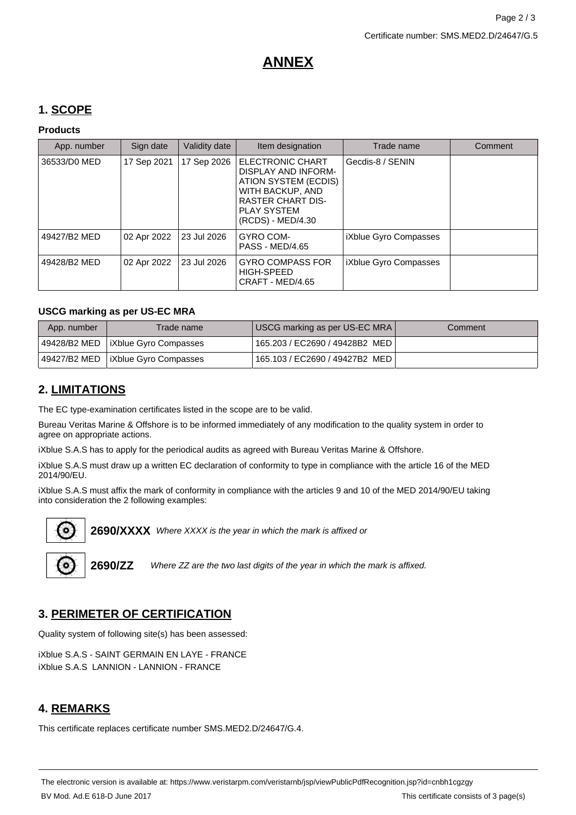## **ANNEX**

## **1. SCOPE**

#### **Products**

| App. number  | Sign date   | Validity date | Item designation                                                                                                                                           | Trade name            | Comment |
|--------------|-------------|---------------|------------------------------------------------------------------------------------------------------------------------------------------------------------|-----------------------|---------|
| 36533/D0 MED | 17 Sep 2021 | 17 Sep 2026   | ELECTRONIC CHART<br>DISPLAY AND INFORM-<br>ATION SYSTEM (ECDIS)<br>WITH BACKUP, AND<br><b>RASTER CHART DIS-</b><br><b>PLAY SYSTEM</b><br>(RCDS) - MED/4.30 | Gecdis-8 / SENIN      |         |
| 49427/B2 MED | 02 Apr 2022 | 23 Jul 2026   | GYRO COM-<br><b>PASS - MED/4.65</b>                                                                                                                        | iXblue Gyro Compasses |         |
| 49428/B2 MED | 02 Apr 2022 | 23 Jul 2026   | <b>GYRO COMPASS FOR</b><br>HIGH-SPEED<br>CRAFT - MED/4.65                                                                                                  | iXblue Gyro Compasses |         |

#### **USCG marking as per US-EC MRA**

| App. number | Trade name                           | USCG marking as per US-EC MRA    | Comment |
|-------------|--------------------------------------|----------------------------------|---------|
|             | 49428/B2 MED   iXblue Gyro Compasses | 165.203 / EC2690 / 49428B2 MED I |         |
|             | 49427/B2 MED   iXblue Gyro Compasses | 165.103 / EC2690 / 49427B2 MED I |         |

## **2. LIMITATIONS**

The EC type-examination certificates listed in the scope are to be valid.

Bureau Veritas Marine & Offshore is to be informed immediately of any modification to the quality system in order to agree on appropriate actions.

iXblue S.A.S has to apply for the periodical audits as agreed with Bureau Veritas Marine & Offshore.

iXblue S.A.S must draw up a written EC declaration of conformity to type in compliance with the article 16 of the MED 2014/90/EU.

iXblue S.A.S must affix the mark of conformity in compliance with the articles 9 and 10 of the MED 2014/90/EU taking into consideration the 2 following examples:



2690/XXXX Where XXXX is the year in which the mark is affixed or



**2690/ZZ** Where ZZ are the two last digits of the year in which the mark is affixed.

## **3. PERIMETER OF CERTIFICATION**

Quality system of following site(s) has been assessed:

iXblue S.A.S - SAINT GERMAIN EN LAYE - FRANCE iXblue S.A.S LANNION - LANNION - FRANCE

## **4. REMARKS**

This certificate replaces certificate number SMS.MED2.D/24647/G.4.